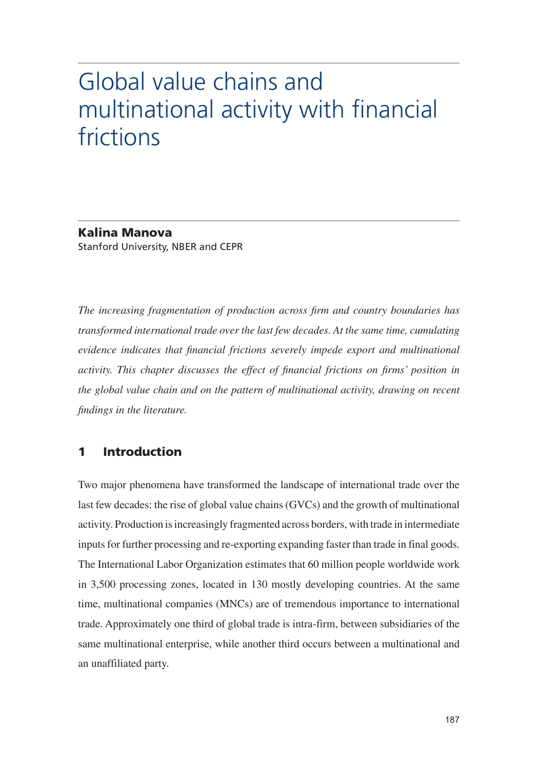# Global value chains and multinational activity with financial frictions

Kalina Manova Stanford University, NBER and CEPR

*The increasing fragmentation of production across firm and country boundaries has transformed international trade over the last few decades. At the same time, cumulating evidence indicates that financial frictions severely impede export and multinational activity. This chapter discusses the effect of financial frictions on firms' position in the global value chain and on the pattern of multinational activity, drawing on recent findings in the literature.*

## 1 Introduction

Two major phenomena have transformed the landscape of international trade over the last few decades: the rise of global value chains (GVCs) and the growth of multinational activity. Production is increasingly fragmented across borders, with trade in intermediate inputs for further processing and re-exporting expanding faster than trade in final goods. The International Labor Organization estimates that 60 million people worldwide work in 3,500 processing zones, located in 130 mostly developing countries. At the same time, multinational companies (MNCs) are of tremendous importance to international trade. Approximately one third of global trade is intra-firm, between subsidiaries of the same multinational enterprise, while another third occurs between a multinational and an unaffiliated party.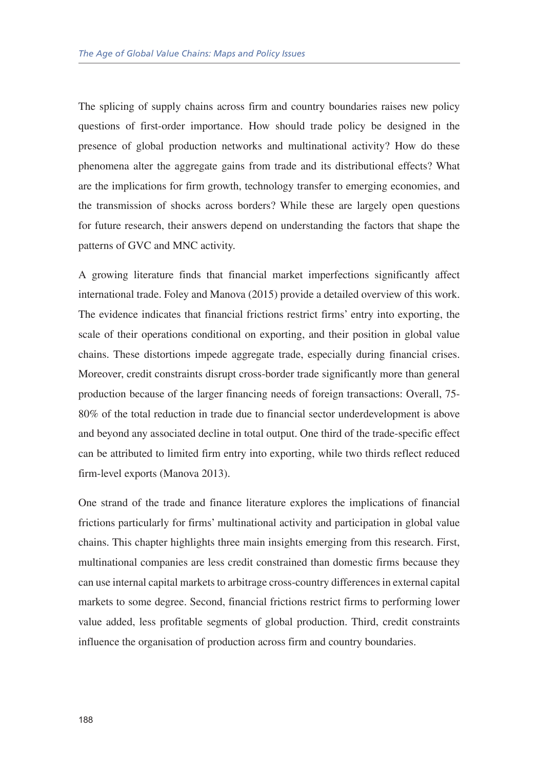The splicing of supply chains across firm and country boundaries raises new policy questions of first-order importance. How should trade policy be designed in the presence of global production networks and multinational activity? How do these phenomena alter the aggregate gains from trade and its distributional effects? What are the implications for firm growth, technology transfer to emerging economies, and the transmission of shocks across borders? While these are largely open questions for future research, their answers depend on understanding the factors that shape the patterns of GVC and MNC activity.

A growing literature finds that financial market imperfections significantly affect international trade. Foley and Manova (2015) provide a detailed overview of this work. The evidence indicates that financial frictions restrict firms' entry into exporting, the scale of their operations conditional on exporting, and their position in global value chains. These distortions impede aggregate trade, especially during financial crises. Moreover, credit constraints disrupt cross-border trade significantly more than general production because of the larger financing needs of foreign transactions: Overall, 75- 80% of the total reduction in trade due to financial sector underdevelopment is above and beyond any associated decline in total output. One third of the trade-specific effect can be attributed to limited firm entry into exporting, while two thirds reflect reduced firm-level exports (Manova 2013).

One strand of the trade and finance literature explores the implications of financial frictions particularly for firms' multinational activity and participation in global value chains. This chapter highlights three main insights emerging from this research. First, multinational companies are less credit constrained than domestic firms because they can use internal capital markets to arbitrage cross-country differences in external capital markets to some degree. Second, financial frictions restrict firms to performing lower value added, less profitable segments of global production. Third, credit constraints influence the organisation of production across firm and country boundaries.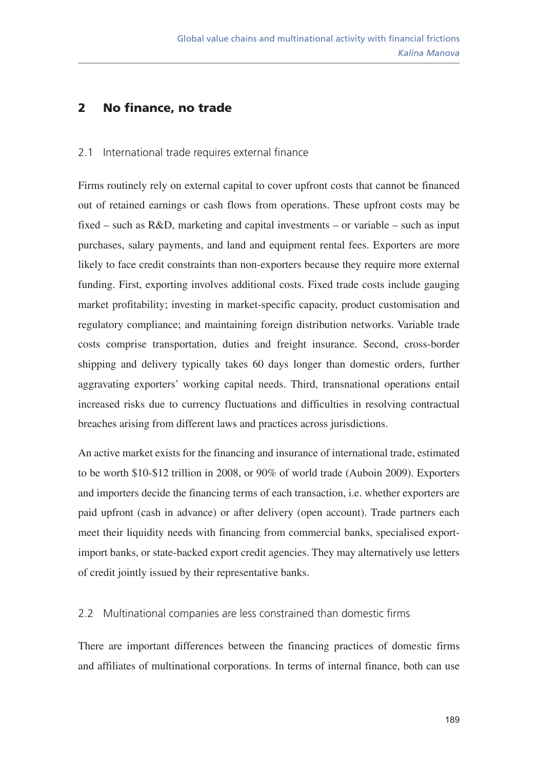## 2 No finance, no trade

#### 2.1 International trade requires external finance

Firms routinely rely on external capital to cover upfront costs that cannot be financed out of retained earnings or cash flows from operations. These upfront costs may be fixed – such as  $R&D$ , marketing and capital investments – or variable – such as input purchases, salary payments, and land and equipment rental fees. Exporters are more likely to face credit constraints than non-exporters because they require more external funding. First, exporting involves additional costs. Fixed trade costs include gauging market profitability; investing in market-specific capacity, product customisation and regulatory compliance; and maintaining foreign distribution networks. Variable trade costs comprise transportation, duties and freight insurance. Second, cross-border shipping and delivery typically takes 60 days longer than domestic orders, further aggravating exporters' working capital needs. Third, transnational operations entail increased risks due to currency fluctuations and difficulties in resolving contractual breaches arising from different laws and practices across jurisdictions.

An active market exists for the financing and insurance of international trade, estimated to be worth \$10-\$12 trillion in 2008, or 90% of world trade (Auboin 2009). Exporters and importers decide the financing terms of each transaction, i.e. whether exporters are paid upfront (cash in advance) or after delivery (open account). Trade partners each meet their liquidity needs with financing from commercial banks, specialised exportimport banks, or state-backed export credit agencies. They may alternatively use letters of credit jointly issued by their representative banks.

#### 2.2 Multinational companies are less constrained than domestic firms

There are important differences between the financing practices of domestic firms and affiliates of multinational corporations. In terms of internal finance, both can use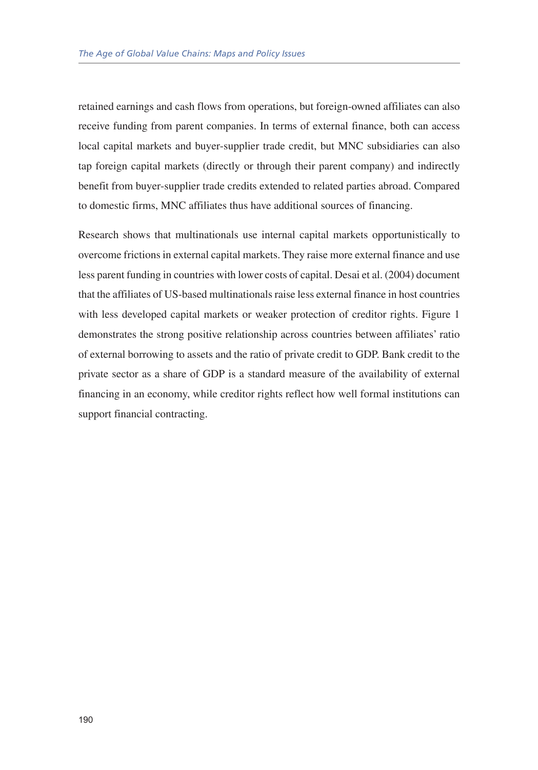retained earnings and cash flows from operations, but foreign-owned affiliates can also receive funding from parent companies. In terms of external finance, both can access local capital markets and buyer-supplier trade credit, but MNC subsidiaries can also tap foreign capital markets (directly or through their parent company) and indirectly benefit from buyer-supplier trade credits extended to related parties abroad. Compared to domestic firms, MNC affiliates thus have additional sources of financing.

Research shows that multinationals use internal capital markets opportunistically to overcome frictions in external capital markets. They raise more external finance and use less parent funding in countries with lower costs of capital. Desai et al. (2004) document that the affiliates of US-based multinationals raise less external finance in host countries with less developed capital markets or weaker protection of creditor rights. Figure 1 demonstrates the strong positive relationship across countries between affiliates' ratio of external borrowing to assets and the ratio of private credit to GDP. Bank credit to the private sector as a share of GDP is a standard measure of the availability of external financing in an economy, while creditor rights reflect how well formal institutions can support financial contracting.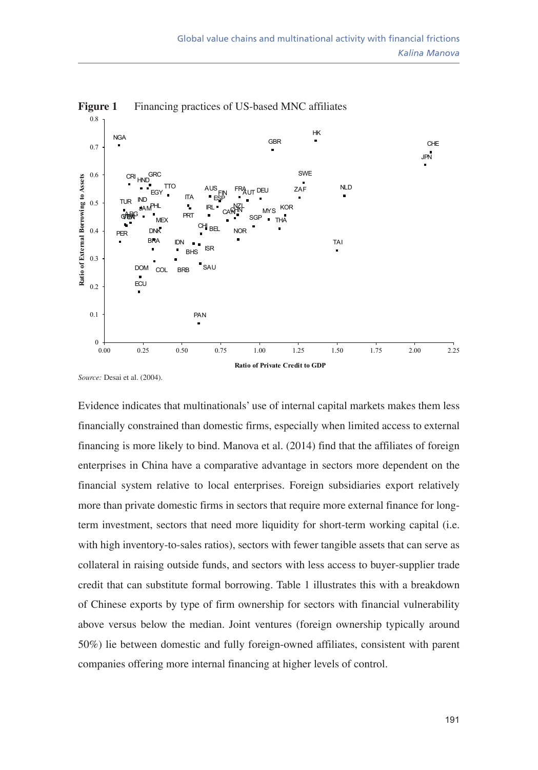

**Figure 1** Financing practices of US-based MNC affiliates

*Source:* Desai et al. (2004).

Evidence indicates that multinationals' use of internal capital markets makes them less financially constrained than domestic firms, especially when limited access to external financing is more likely to bind. Manova et al. (2014) find that the affiliates of foreign enterprises in China have a comparative advantage in sectors more dependent on the financial system relative to local enterprises. Foreign subsidiaries export relatively more than private domestic firms in sectors that require more external finance for longterm investment, sectors that need more liquidity for short-term working capital (i.e. with high inventory-to-sales ratios), sectors with fewer tangible assets that can serve as collateral in raising outside funds, and sectors with less access to buyer-supplier trade credit that can substitute formal borrowing. Table 1 illustrates this with a breakdown of Chinese exports by type of firm ownership for sectors with financial vulnerability above versus below the median. Joint ventures (foreign ownership typically around 50%) lie between domestic and fully foreign-owned affiliates, consistent with parent companies offering more internal financing at higher levels of control.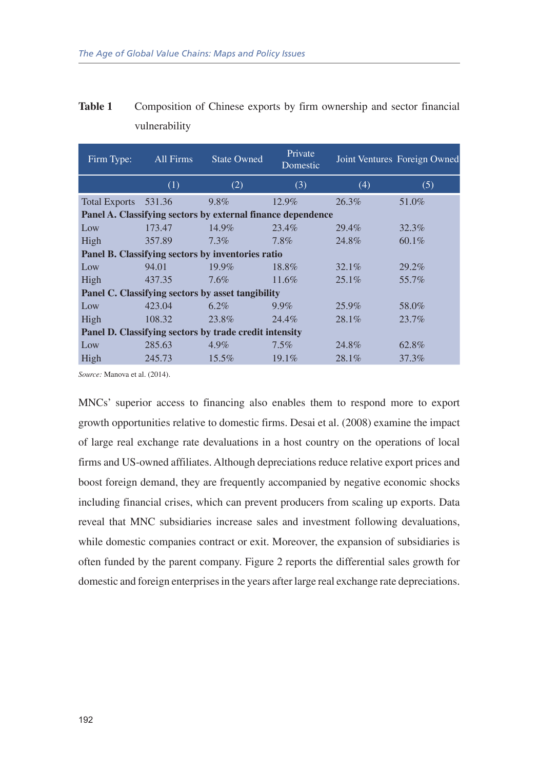| Firm Type:                                                  | All Firms | <b>State Owned</b>                                     | Private<br>Domestic |          | Joint Ventures Foreign Owned |  |  |  |  |  |  |
|-------------------------------------------------------------|-----------|--------------------------------------------------------|---------------------|----------|------------------------------|--|--|--|--|--|--|
|                                                             | (1)       | (2)                                                    | (3)                 | (4)      | (5)                          |  |  |  |  |  |  |
| <b>Total Exports</b>                                        | 531.36    | 9.8%                                                   | 12.9%               | $26.3\%$ | 51.0%                        |  |  |  |  |  |  |
| Panel A. Classifying sectors by external finance dependence |           |                                                        |                     |          |                              |  |  |  |  |  |  |
| Low                                                         | 173.47    | 14.9%                                                  | 23.4%               | 29.4%    | 32.3%                        |  |  |  |  |  |  |
| High                                                        | 357.89    | $7.3\%$                                                | $7.8\%$             | 24.8%    | 60.1%                        |  |  |  |  |  |  |
| Panel B. Classifying sectors by inventories ratio           |           |                                                        |                     |          |                              |  |  |  |  |  |  |
| Low                                                         | 94.01     | $19.9\%$                                               | 18.8%               | $32.1\%$ | 29.2%                        |  |  |  |  |  |  |
| High                                                        | 437.35    | $7.6\%$                                                | $11.6\%$            | $25.1\%$ | 55.7%                        |  |  |  |  |  |  |
| Panel C. Classifying sectors by asset tangibility           |           |                                                        |                     |          |                              |  |  |  |  |  |  |
| Low                                                         | 423.04    | $6.2\%$                                                | $9.9\%$             | 25.9%    | 58.0%                        |  |  |  |  |  |  |
| High                                                        | 108.32    | 23.8%                                                  | 24.4%               | 28.1%    | 23.7%                        |  |  |  |  |  |  |
|                                                             |           | Panel D. Classifying sectors by trade credit intensity |                     |          |                              |  |  |  |  |  |  |
| Low                                                         | 285.63    | $4.9\%$                                                | $7.5\%$             | 24.8%    | 62.8%                        |  |  |  |  |  |  |
| High                                                        | 245.73    | $15.5\%$                                               | $19.1\%$            | 28.1%    | 37.3%                        |  |  |  |  |  |  |

| Table 1 | Composition of Chinese exports by firm ownership and sector financial |  |  |  |  |  |
|---------|-----------------------------------------------------------------------|--|--|--|--|--|
|         | vulnerability                                                         |  |  |  |  |  |

*Source:* Manova et al. (2014).

MNCs' superior access to financing also enables them to respond more to export growth opportunities relative to domestic firms. Desai et al. (2008) examine the impact of large real exchange rate devaluations in a host country on the operations of local firms and US-owned affiliates. Although depreciations reduce relative export prices and boost foreign demand, they are frequently accompanied by negative economic shocks including financial crises, which can prevent producers from scaling up exports. Data reveal that MNC subsidiaries increase sales and investment following devaluations, while domestic companies contract or exit. Moreover, the expansion of subsidiaries is often funded by the parent company. Figure 2 reports the differential sales growth for domestic and foreign enterprises in the years after large real exchange rate depreciations.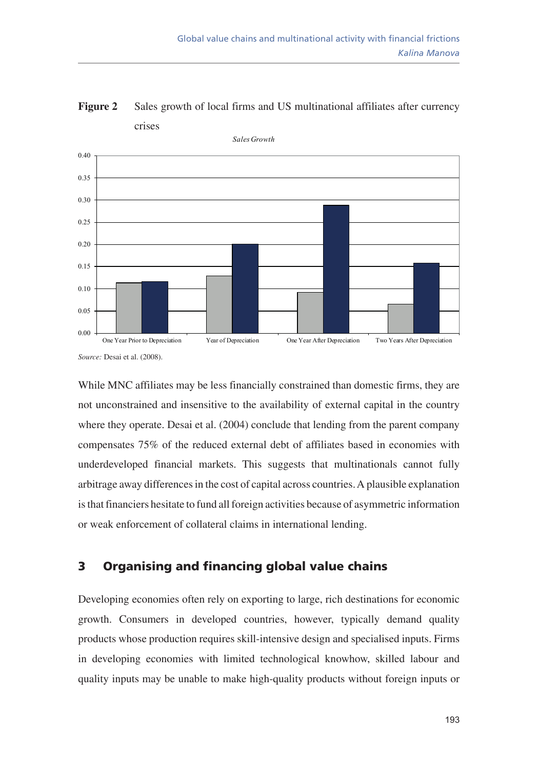

**Figure 2** Sales growth of local firms and US multinational affiliates after currency crises

*Source:* Desai et al. (2008).

While MNC affiliates may be less financially constrained than domestic firms, they are not unconstrained and insensitive to the availability of external capital in the country where they operate. Desai et al. (2004) conclude that lending from the parent company compensates 75% of the reduced external debt of affiliates based in economies with underdeveloped financial markets. This suggests that multinationals cannot fully arbitrage away differences in the cost of capital across countries. A plausible explanation is that financiers hesitate to fund all foreign activities because of asymmetric information or weak enforcement of collateral claims in international lending.

# 3 Organising and financing global value chains

Developing economies often rely on exporting to large, rich destinations for economic growth. Consumers in developed countries, however, typically demand quality products whose production requires skill-intensive design and specialised inputs. Firms in developing economies with limited technological knowhow, skilled labour and quality inputs may be unable to make high-quality products without foreign inputs or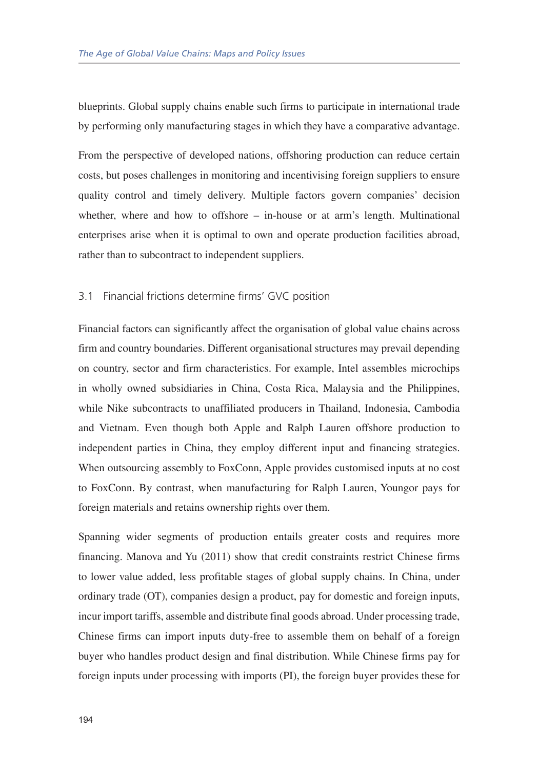blueprints. Global supply chains enable such firms to participate in international trade by performing only manufacturing stages in which they have a comparative advantage.

From the perspective of developed nations, offshoring production can reduce certain costs, but poses challenges in monitoring and incentivising foreign suppliers to ensure quality control and timely delivery. Multiple factors govern companies' decision whether, where and how to offshore – in-house or at arm's length. Multinational enterprises arise when it is optimal to own and operate production facilities abroad, rather than to subcontract to independent suppliers.

#### 3.1 Financial frictions determine firms' GVC position

Financial factors can significantly affect the organisation of global value chains across firm and country boundaries. Different organisational structures may prevail depending on country, sector and firm characteristics. For example, Intel assembles microchips in wholly owned subsidiaries in China, Costa Rica, Malaysia and the Philippines, while Nike subcontracts to unaffiliated producers in Thailand, Indonesia, Cambodia and Vietnam. Even though both Apple and Ralph Lauren offshore production to independent parties in China, they employ different input and financing strategies. When outsourcing assembly to FoxConn, Apple provides customised inputs at no cost to FoxConn. By contrast, when manufacturing for Ralph Lauren, Youngor pays for foreign materials and retains ownership rights over them.

Spanning wider segments of production entails greater costs and requires more financing. Manova and Yu (2011) show that credit constraints restrict Chinese firms to lower value added, less profitable stages of global supply chains. In China, under ordinary trade (OT), companies design a product, pay for domestic and foreign inputs, incur import tariffs, assemble and distribute final goods abroad. Under processing trade, Chinese firms can import inputs duty-free to assemble them on behalf of a foreign buyer who handles product design and final distribution. While Chinese firms pay for foreign inputs under processing with imports (PI), the foreign buyer provides these for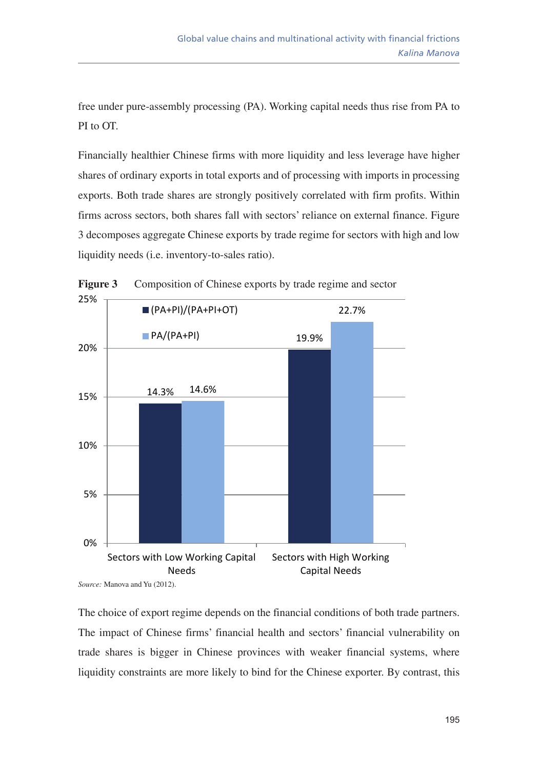free under pure-assembly processing (PA). Working capital needs thus rise from PA to PI to OT.

Financially healthier Chinese firms with more liquidity and less leverage have higher shares of ordinary exports in total exports and of processing with imports in processing exports. Both trade shares are strongly positively correlated with firm profits. Within firms across sectors, both shares fall with sectors' reliance on external finance. Figure 3 decomposes aggregate Chinese exports by trade regime for sectors with high and low liquidity needs (i.e. inventory-to-sales ratio).



**Figure 3** Composition of Chinese exports by trade regime and sector

The choice of export regime depends on the financial conditions of both trade partners. The impact of Chinese firms' financial health and sectors' financial vulnerability on trade shares is bigger in Chinese provinces with weaker financial systems, where liquidity constraints are more likely to bind for the Chinese exporter. By contrast, this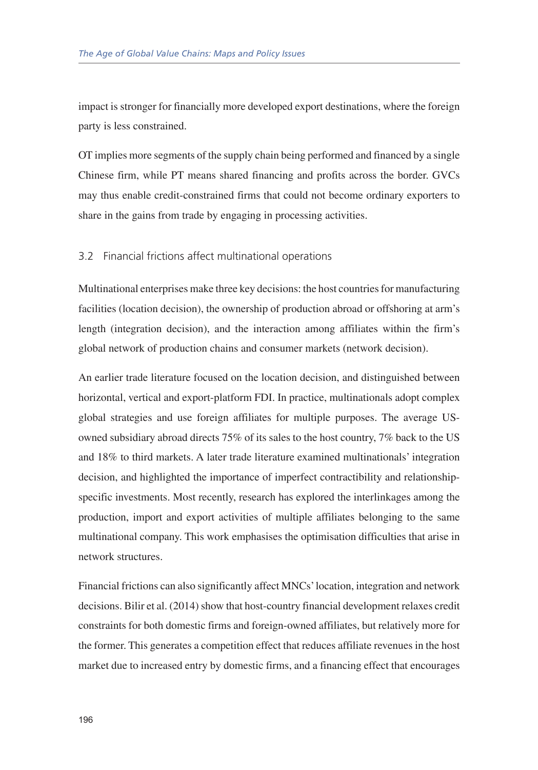impact is stronger for financially more developed export destinations, where the foreign party is less constrained.

OT implies more segments of the supply chain being performed and financed by a single Chinese firm, while PT means shared financing and profits across the border. GVCs may thus enable credit-constrained firms that could not become ordinary exporters to share in the gains from trade by engaging in processing activities.

#### 3.2 Financial frictions affect multinational operations

Multinational enterprises make three key decisions: the host countries for manufacturing facilities (location decision), the ownership of production abroad or offshoring at arm's length (integration decision), and the interaction among affiliates within the firm's global network of production chains and consumer markets (network decision).

An earlier trade literature focused on the location decision, and distinguished between horizontal, vertical and export-platform FDI. In practice, multinationals adopt complex global strategies and use foreign affiliates for multiple purposes. The average USowned subsidiary abroad directs 75% of its sales to the host country, 7% back to the US and 18% to third markets. A later trade literature examined multinationals' integration decision, and highlighted the importance of imperfect contractibility and relationshipspecific investments. Most recently, research has explored the interlinkages among the production, import and export activities of multiple affiliates belonging to the same multinational company. This work emphasises the optimisation difficulties that arise in network structures.

Financial frictions can also significantly affect MNCs' location, integration and network decisions. Bilir et al. (2014) show that host-country financial development relaxes credit constraints for both domestic firms and foreign-owned affiliates, but relatively more for the former. This generates a competition effect that reduces affiliate revenues in the host market due to increased entry by domestic firms, and a financing effect that encourages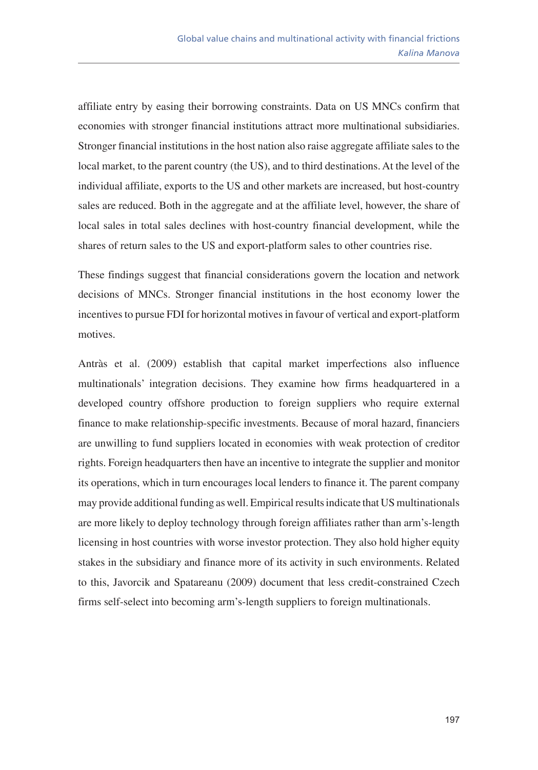affiliate entry by easing their borrowing constraints. Data on US MNCs confirm that economies with stronger financial institutions attract more multinational subsidiaries. Stronger financial institutions in the host nation also raise aggregate affiliate sales to the local market, to the parent country (the US), and to third destinations. At the level of the individual affiliate, exports to the US and other markets are increased, but host-country sales are reduced. Both in the aggregate and at the affiliate level, however, the share of local sales in total sales declines with host-country financial development, while the shares of return sales to the US and export-platform sales to other countries rise.

These findings suggest that financial considerations govern the location and network decisions of MNCs. Stronger financial institutions in the host economy lower the incentives to pursue FDI for horizontal motives in favour of vertical and export-platform motives.

Antràs et al. (2009) establish that capital market imperfections also influence multinationals' integration decisions. They examine how firms headquartered in a developed country offshore production to foreign suppliers who require external finance to make relationship-specific investments. Because of moral hazard, financiers are unwilling to fund suppliers located in economies with weak protection of creditor rights. Foreign headquarters then have an incentive to integrate the supplier and monitor its operations, which in turn encourages local lenders to finance it. The parent company may provide additional funding as well. Empirical results indicate that US multinationals are more likely to deploy technology through foreign affiliates rather than arm's-length licensing in host countries with worse investor protection. They also hold higher equity stakes in the subsidiary and finance more of its activity in such environments. Related to this, Javorcik and Spatareanu (2009) document that less credit-constrained Czech firms self-select into becoming arm's-length suppliers to foreign multinationals.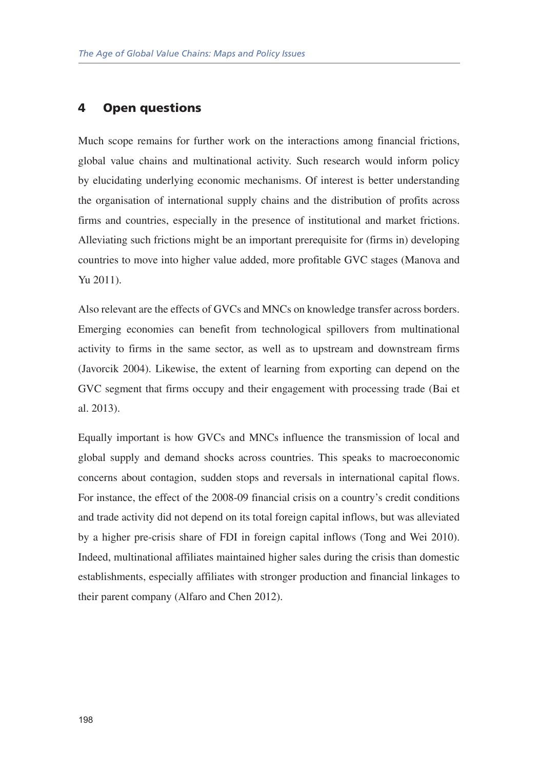### 4 Open questions

Much scope remains for further work on the interactions among financial frictions, global value chains and multinational activity. Such research would inform policy by elucidating underlying economic mechanisms. Of interest is better understanding the organisation of international supply chains and the distribution of profits across firms and countries, especially in the presence of institutional and market frictions. Alleviating such frictions might be an important prerequisite for (firms in) developing countries to move into higher value added, more profitable GVC stages (Manova and Yu 2011).

Also relevant are the effects of GVCs and MNCs on knowledge transfer across borders. Emerging economies can benefit from technological spillovers from multinational activity to firms in the same sector, as well as to upstream and downstream firms (Javorcik 2004). Likewise, the extent of learning from exporting can depend on the GVC segment that firms occupy and their engagement with processing trade (Bai et al. 2013).

Equally important is how GVCs and MNCs influence the transmission of local and global supply and demand shocks across countries. This speaks to macroeconomic concerns about contagion, sudden stops and reversals in international capital flows. For instance, the effect of the 2008-09 financial crisis on a country's credit conditions and trade activity did not depend on its total foreign capital inflows, but was alleviated by a higher pre-crisis share of FDI in foreign capital inflows (Tong and Wei 2010). Indeed, multinational affiliates maintained higher sales during the crisis than domestic establishments, especially affiliates with stronger production and financial linkages to their parent company (Alfaro and Chen 2012).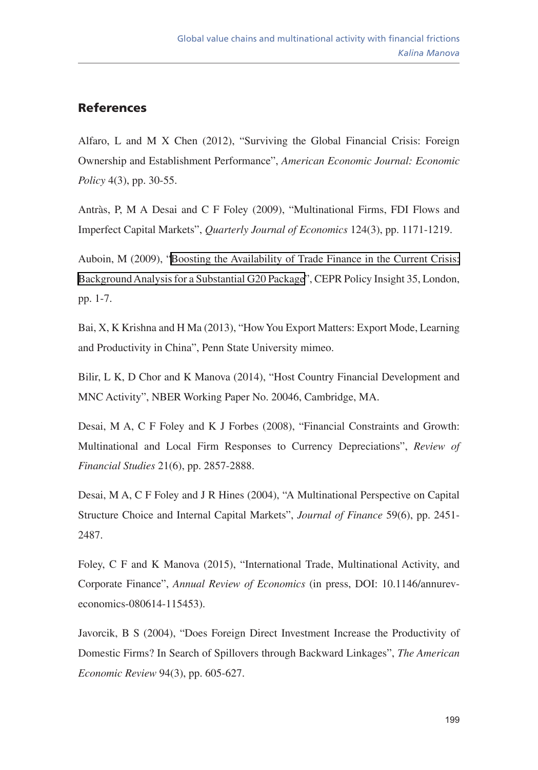# References

Alfaro, L and M X Chen (2012), "Surviving the Global Financial Crisis: Foreign Ownership and Establishment Performance", *American Economic Journal: Economic Policy* 4(3), pp. 30-55.

Antràs, P, M A Desai and C F Foley (2009), "Multinational Firms, FDI Flows and Imperfect Capital Markets", *Quarterly Journal of Economics* 124(3), pp. 1171-1219.

Auboin, M (2009), ["Boosting the Availability of Trade Finance in the Current Crisis:](http://www.cepr.org/sites/default/files/policy_insights/PolicyInsight35.pdf)  [Background Analysis for a Substantial G20 Package](http://www.cepr.org/sites/default/files/policy_insights/PolicyInsight35.pdf)", CEPR Policy Insight 35, London, pp. 1-7.

Bai, X, K Krishna and H Ma (2013), "How You Export Matters: Export Mode, Learning and Productivity in China", Penn State University mimeo.

Bilir, L K, D Chor and K Manova (2014), "Host Country Financial Development and MNC Activity", NBER Working Paper No. 20046, Cambridge, MA.

Desai, M A, C F Foley and K J Forbes (2008), "Financial Constraints and Growth: Multinational and Local Firm Responses to Currency Depreciations", *Review of Financial Studies* 21(6), pp. 2857-2888.

Desai, M A, C F Foley and J R Hines (2004), "A Multinational Perspective on Capital Structure Choice and Internal Capital Markets", *Journal of Finance* 59(6), pp. 2451- 2487.

Foley, C F and K Manova (2015), "International Trade, Multinational Activity, and Corporate Finance", *Annual Review of Economics* (in press, DOI: 10.1146/annureveconomics-080614-115453).

Javorcik, B S (2004), "Does Foreign Direct Investment Increase the Productivity of Domestic Firms? In Search of Spillovers through Backward Linkages", *The American Economic Review* 94(3), pp. 605-627.